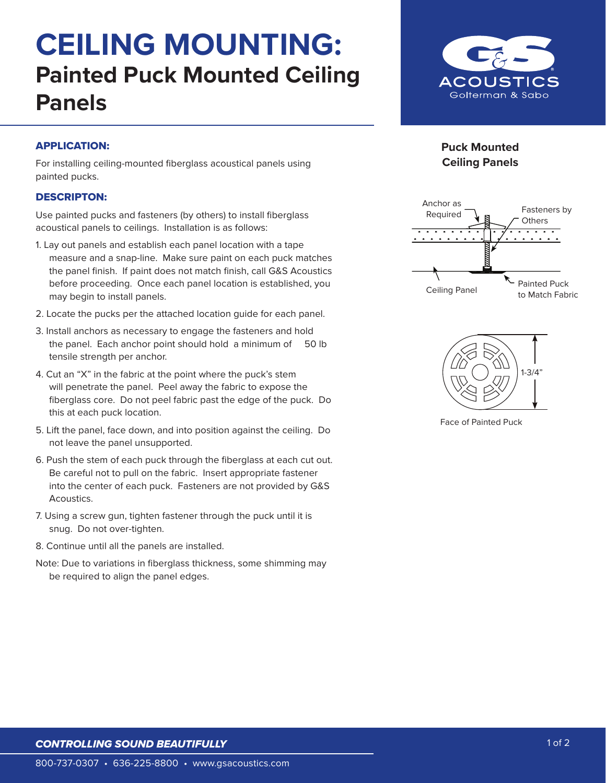# **CEILING MOUNTING: Painted Puck Mounted Ceiling Panels**



## APPLICATION:

For installing ceiling-mounted fiberglass acoustical panels using painted pucks.

#### DESCRIPTON:

Use painted pucks and fasteners (by others) to install fiberglass acoustical panels to ceilings. Installation is as follows:

- 1. Lay out panels and establish each panel location with a tape measure and a snap-line. Make sure paint on each puck matches the panel finish. If paint does not match finish, call G&S Acoustics before proceeding. Once each panel location is established, you may begin to install panels.
- 2. Locate the pucks per the attached location guide for each panel.
- 3. Install anchors as necessary to engage the fasteners and hold the panel. Each anchor point should hold a minimum of 50 lb tensile strength per anchor.
- 4. Cut an "X" in the fabric at the point where the puck's stem will penetrate the panel. Peel away the fabric to expose the fiberglass core. Do not peel fabric past the edge of the puck. Do this at each puck location.
- 5. Lift the panel, face down, and into position against the ceiling. Do not leave the panel unsupported.
- 6. Push the stem of each puck through the fiberglass at each cut out. Be careful not to pull on the fabric. Insert appropriate fastener into the center of each puck. Fasteners are not provided by G&S Acoustics.
- 7. Using a screw gun, tighten fastener through the puck until it is snug. Do not over-tighten.
- 8. Continue until all the panels are installed.
- Note: Due to variations in fiberglass thickness, some shimming may be required to align the panel edges.

### **Puck Mounted Ceiling Panels**





Face of Painted Puck

*CONTROLLING SOUND BEAUTIFULLY*